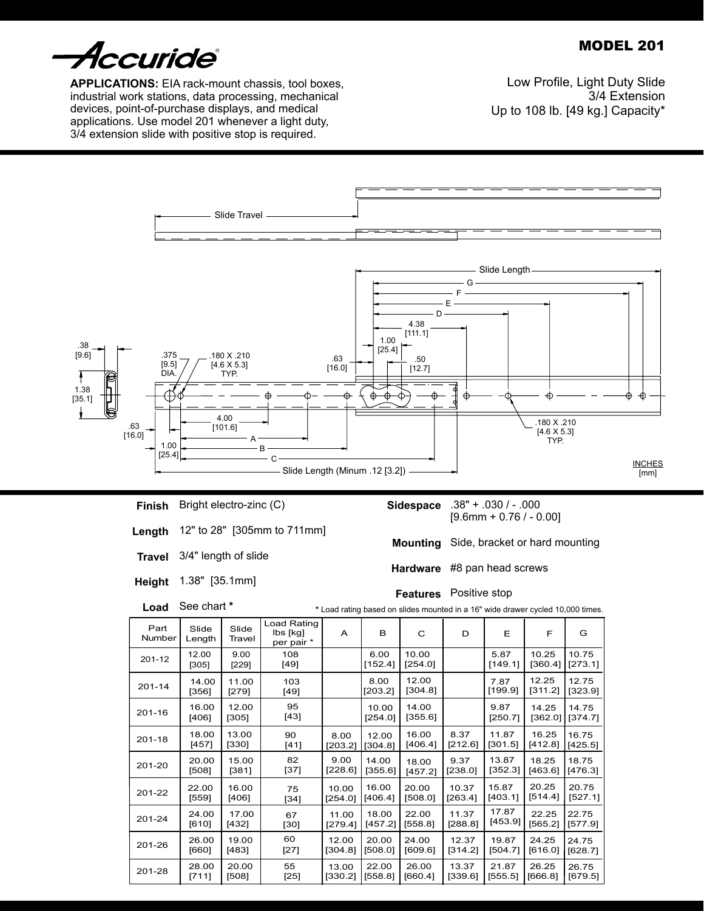# MODEL 201



**Applications:** EIA rack-mount chassis, tool boxes, industrial work stations, data processing, mechanical devices, point-of-purchase displays, and medical applications. Use model 201 whenever a light duty, 3/4 extension slide with positive stop is required.

Low Profile, Light Duty Slide 3/4 Extension Up to 108 lb. [49 kg.] Capacity\*



## **Finish** Bright electro-zinc (C)

- **Length** 12" to 28" [305mm to 711mm]
- **Travel** 3/4" length of slide
- **Height** 1.38" [35.1mm]

**Load** See chart **\*** .38" + .030 / - .000 **Sidespace**  $[9.6$ mm + 0.76 / - 0.00]

**Mounting** Side, bracket or hard mounting

**Hardware** #8 pan head screws

**Features** Positive stop

|                |                 |                 |                                       |         |                  | Load rating based on sildes mounted in a TO Wide drawer cycled TO,000 times |         |                 |                  |                  |
|----------------|-----------------|-----------------|---------------------------------------|---------|------------------|-----------------------------------------------------------------------------|---------|-----------------|------------------|------------------|
| Part<br>Number | Slide<br>Length | Slide<br>Travel | Load Rating<br>lbs [kg]<br>per pair * | A       | в                | C                                                                           | D       | Ε               | F                | G                |
| 201-12         | 12.00<br>[305]  | 9.00<br>[229]   | 108<br>[49]                           |         | 6.00<br>[152.4]  | 10.00<br>[254.0]                                                            |         | 5.87<br>[149.1] | 10.25<br>[360.4] | 10.75<br>[273.1] |
| $201 - 14$     | 14.00<br>[356]  | 11.00<br>[279]  | 103<br>[49]                           |         | 8.00<br>[203.2]  | 12.00<br>[304.8]                                                            |         | 7.87<br>[199.9] | 12.25<br>[311.2] | 12.75<br>[323.9] |
| 201-16         | 16.00<br>[406]  | 12.00<br>[305]  | 95<br>[43]                            |         | 10.00<br>[254.0] | 14.00<br>[355.6]                                                            |         | 9.87<br>[250.7] | 14.25<br>[362.0] | 14.75<br>[374.7] |
| $201 - 18$     | 18.00           | 13.00           | 90                                    | 8.00    | 12.00            | 16.00                                                                       | 8.37    | 11.87           | 16.25            | 16.75            |
|                | [457]           | $[330]$         | [41]                                  | [203.2] | [304.8]          | [406.4]                                                                     | [212.6] | [301.5]         | [412.8]          | [425.5]          |
| 201-20         | 20.00           | 15.00           | 82                                    | 9.00    | 14.00            | 18.00                                                                       | 9.37    | 13.87           | 18.25            | 18.75            |
|                | [508]           | [381]           | $[37]$                                | [228.6] | [355.6]          | [457.2]                                                                     | [238.0] | [352.3]         | [463.6]          | [476.3]          |
| 201-22         | 22.00           | 16.00           | 75                                    | 10.00   | 16.00            | 20.00                                                                       | 10.37   | 15.87           | 20.25            | 20.75            |
|                | [559]           | [406]           | $[34]$                                | [254.0] | [406.4]          | [508.0]                                                                     | [263.4] | [403.1]         | $[514.4]$        | [527.1]          |
| 201-24         | 24.00           | 17.00           | 67                                    | 11.00   | 18.00            | 22.00                                                                       | 11.37   | 17.87           | 22.25            | 22.75            |
|                | [610]           | [432]           | [30]                                  | [279.4] | [457.2]          | [558.8]                                                                     | [288.8] | [453.9]         | [565.2]          | [577.9]          |
| 201-26         | 26.00           | 19.00           | 60                                    | 12.00   | 20.00            | 24.00                                                                       | 12.37   | 19.87           | 24.25            | 24.75            |
|                | [660]           | [483]           | $[27]$                                | [304.8] | [508.0]          | [609.6]                                                                     | [314.2] | [504.7]         | [616.0]          | [628.7]          |
| 201-28         | 28.00           | 20.00           | 55                                    | 13.00   | 22.00            | 26.00                                                                       | 13.37   | 21.87           | 26.25            | 26.75            |
|                | [711]           | $[508]$         | $[25]$                                | [330.2] | [558.8]          | [660.4]                                                                     | [339.6] | [555.5]         | [666.8]          | [679.5]          |

ad rating based on slides mounted in a 16" wide drawer cycled 10,000 times.